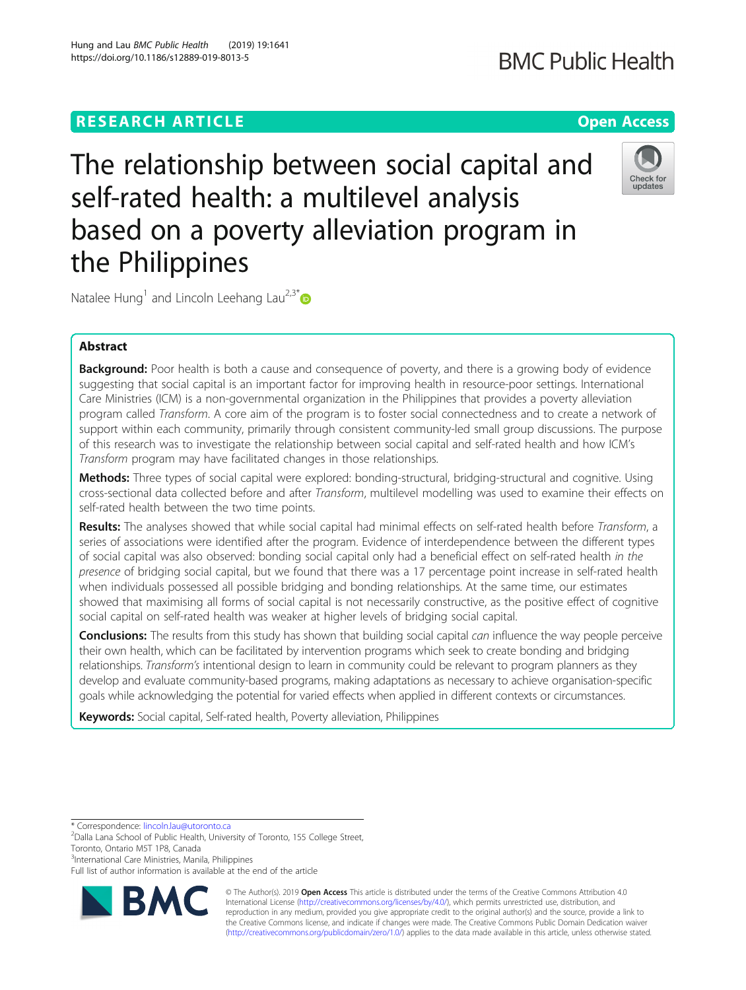## **RESEARCH ARTICLE Example 2018 12:30 THE OPEN ACCESS**

# The relationship between social capital and self-rated health: a multilevel analysis based on a poverty alleviation program in the Philippines

Natalee Hung<sup>1</sup> and Lincoln Leehang Lau<sup>2,3\*</sup>

## Abstract

Background: Poor health is both a cause and consequence of poverty, and there is a growing body of evidence suggesting that social capital is an important factor for improving health in resource-poor settings. International Care Ministries (ICM) is a non-governmental organization in the Philippines that provides a poverty alleviation program called Transform. A core aim of the program is to foster social connectedness and to create a network of support within each community, primarily through consistent community-led small group discussions. The purpose of this research was to investigate the relationship between social capital and self-rated health and how ICM's Transform program may have facilitated changes in those relationships.

Methods: Three types of social capital were explored: bonding-structural, bridging-structural and cognitive. Using cross-sectional data collected before and after Transform, multilevel modelling was used to examine their effects on self-rated health between the two time points.

Results: The analyses showed that while social capital had minimal effects on self-rated health before Transform, a series of associations were identified after the program. Evidence of interdependence between the different types of social capital was also observed: bonding social capital only had a beneficial effect on self-rated health in the presence of bridging social capital, but we found that there was a 17 percentage point increase in self-rated health when individuals possessed all possible bridging and bonding relationships. At the same time, our estimates showed that maximising all forms of social capital is not necessarily constructive, as the positive effect of cognitive social capital on self-rated health was weaker at higher levels of bridging social capital.

**Conclusions:** The results from this study has shown that building social capital can influence the way people perceive their own health, which can be facilitated by intervention programs which seek to create bonding and bridging relationships. Transform's intentional design to learn in community could be relevant to program planners as they develop and evaluate community-based programs, making adaptations as necessary to achieve organisation-specific goals while acknowledging the potential for varied effects when applied in different contexts or circumstances.

Keywords: Social capital, Self-rated health, Poverty alleviation, Philippines

Full list of author information is available at the end of the article





© The Author(s). 2019 **Open Access** This article is distributed under the terms of the Creative Commons Attribution 4.0 International License [\(http://creativecommons.org/licenses/by/4.0/](http://creativecommons.org/licenses/by/4.0/)), which permits unrestricted use, distribution, and reproduction in any medium, provided you give appropriate credit to the original author(s) and the source, provide a link to the Creative Commons license, and indicate if changes were made. The Creative Commons Public Domain Dedication waiver [\(http://creativecommons.org/publicdomain/zero/1.0/](http://creativecommons.org/publicdomain/zero/1.0/)) applies to the data made available in this article, unless otherwise stated.



<sup>\*</sup> Correspondence: [lincoln.lau@utoronto.ca](mailto:lincoln.lau@utoronto.ca) <sup>2</sup>

 $2$ Dalla Lana School of Public Health, University of Toronto, 155 College Street,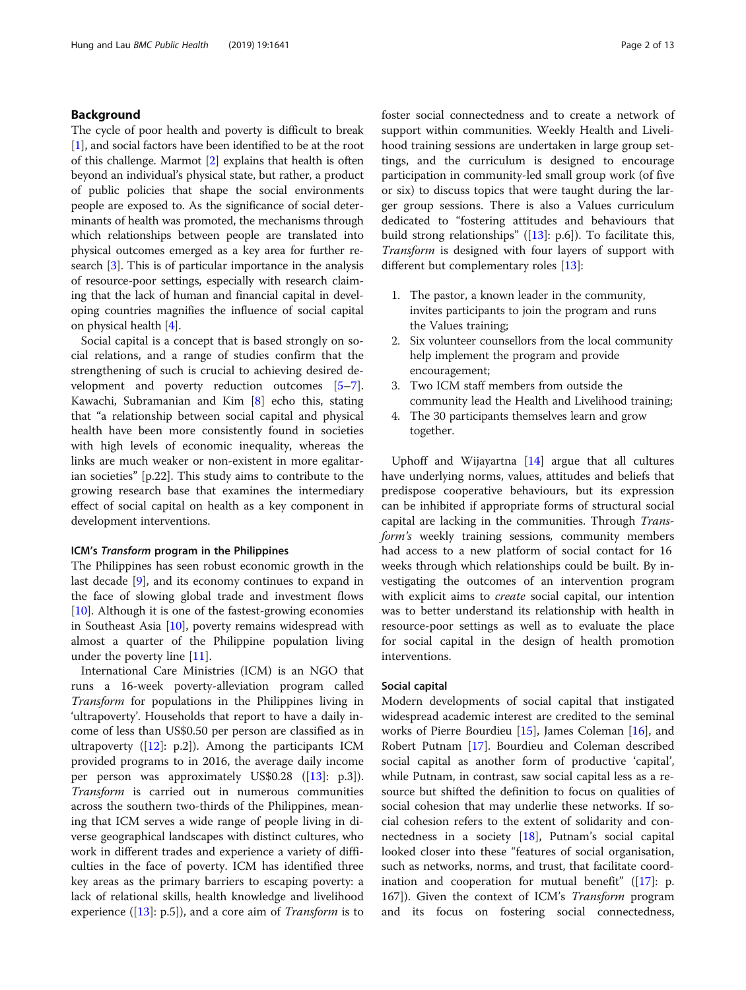## Background

The cycle of poor health and poverty is difficult to break [[1\]](#page-11-0), and social factors have been identified to be at the root of this challenge. Marmot [\[2](#page-11-0)] explains that health is often beyond an individual's physical state, but rather, a product of public policies that shape the social environments people are exposed to. As the significance of social determinants of health was promoted, the mechanisms through which relationships between people are translated into physical outcomes emerged as a key area for further research [\[3](#page-11-0)]. This is of particular importance in the analysis of resource-poor settings, especially with research claiming that the lack of human and financial capital in developing countries magnifies the influence of social capital on physical health [[4](#page-11-0)].

Social capital is a concept that is based strongly on social relations, and a range of studies confirm that the strengthening of such is crucial to achieving desired development and poverty reduction outcomes [\[5](#page-11-0)–[7](#page-11-0)]. Kawachi, Subramanian and Kim [\[8](#page-11-0)] echo this, stating that "a relationship between social capital and physical health have been more consistently found in societies with high levels of economic inequality, whereas the links are much weaker or non-existent in more egalitarian societies" [p.22]. This study aims to contribute to the growing research base that examines the intermediary effect of social capital on health as a key component in development interventions.

#### ICM's Transform program in the Philippines

The Philippines has seen robust economic growth in the last decade [[9\]](#page-11-0), and its economy continues to expand in the face of slowing global trade and investment flows [[10\]](#page-11-0). Although it is one of the fastest-growing economies in Southeast Asia [\[10](#page-11-0)], poverty remains widespread with almost a quarter of the Philippine population living under the poverty line [[11\]](#page-11-0).

International Care Ministries (ICM) is an NGO that runs a 16-week poverty-alleviation program called Transform for populations in the Philippines living in 'ultrapoverty'. Households that report to have a daily income of less than US\$0.50 per person are classified as in ultrapoverty ([[12\]](#page-11-0): p.2]). Among the participants ICM provided programs to in 2016, the average daily income per person was approximately US\$0.28 ([\[13](#page-11-0)]: p.3]). Transform is carried out in numerous communities across the southern two-thirds of the Philippines, meaning that ICM serves a wide range of people living in diverse geographical landscapes with distinct cultures, who work in different trades and experience a variety of difficulties in the face of poverty. ICM has identified three key areas as the primary barriers to escaping poverty: a lack of relational skills, health knowledge and livelihood experience ([[13\]](#page-11-0): p.5]), and a core aim of *Transform* is to foster social connectedness and to create a network of support within communities. Weekly Health and Livelihood training sessions are undertaken in large group settings, and the curriculum is designed to encourage participation in community-led small group work (of five or six) to discuss topics that were taught during the larger group sessions. There is also a Values curriculum dedicated to "fostering attitudes and behaviours that build strong relationships" ([[13](#page-11-0)]: p.6]). To facilitate this, Transform is designed with four layers of support with different but complementary roles [[13\]](#page-11-0):

- 1. The pastor, a known leader in the community, invites participants to join the program and runs the Values training;
- 2. Six volunteer counsellors from the local community help implement the program and provide encouragement;
- 3. Two ICM staff members from outside the community lead the Health and Livelihood training;
- 4. The 30 participants themselves learn and grow together.

Uphoff and Wijayartna [[14](#page-11-0)] argue that all cultures have underlying norms, values, attitudes and beliefs that predispose cooperative behaviours, but its expression can be inhibited if appropriate forms of structural social capital are lacking in the communities. Through Transform's weekly training sessions, community members had access to a new platform of social contact for 16 weeks through which relationships could be built. By investigating the outcomes of an intervention program with explicit aims to *create* social capital, our intention was to better understand its relationship with health in resource-poor settings as well as to evaluate the place for social capital in the design of health promotion interventions.

## Social capital

Modern developments of social capital that instigated widespread academic interest are credited to the seminal works of Pierre Bourdieu [[15\]](#page-11-0), James Coleman [[16\]](#page-11-0), and Robert Putnam [[17\]](#page-11-0). Bourdieu and Coleman described social capital as another form of productive 'capital', while Putnam, in contrast, saw social capital less as a resource but shifted the definition to focus on qualities of social cohesion that may underlie these networks. If social cohesion refers to the extent of solidarity and connectedness in a society [\[18](#page-11-0)], Putnam's social capital looked closer into these "features of social organisation, such as networks, norms, and trust, that facilitate coordination and cooperation for mutual benefit"  $([17] : p$  $([17] : p$  $([17] : p$ . 167]). Given the context of ICM's *Transform* program and its focus on fostering social connectedness,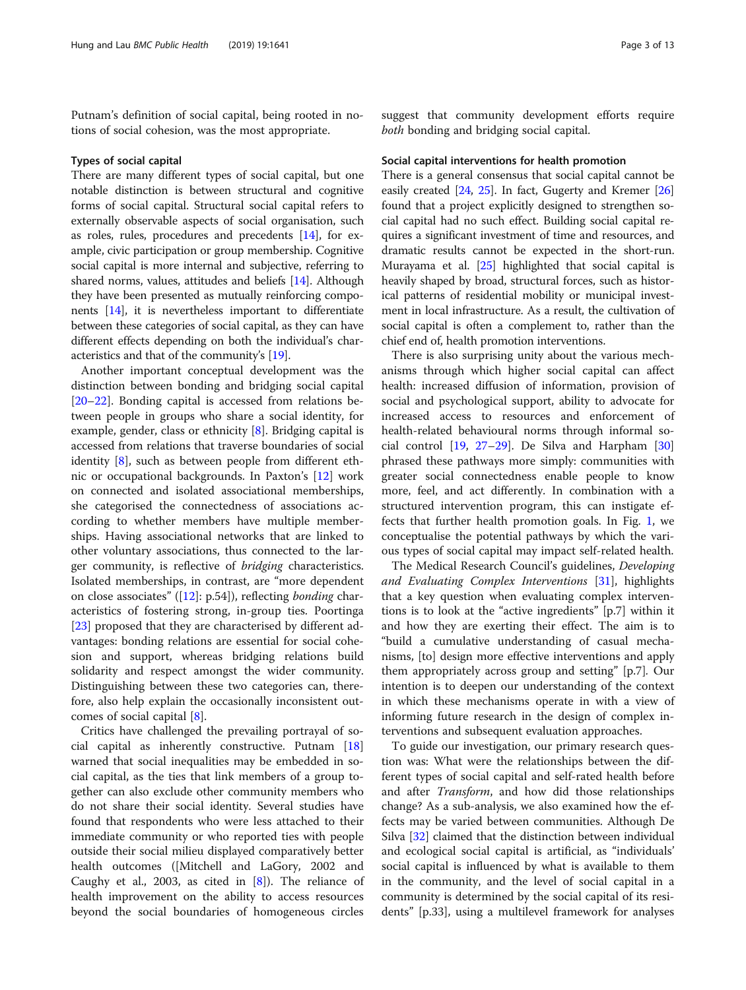Putnam's definition of social capital, being rooted in notions of social cohesion, was the most appropriate.

#### Types of social capital

There are many different types of social capital, but one notable distinction is between structural and cognitive forms of social capital. Structural social capital refers to externally observable aspects of social organisation, such as roles, rules, procedures and precedents [\[14\]](#page-11-0), for example, civic participation or group membership. Cognitive social capital is more internal and subjective, referring to shared norms, values, attitudes and beliefs [[14](#page-11-0)]. Although they have been presented as mutually reinforcing components [[14\]](#page-11-0), it is nevertheless important to differentiate between these categories of social capital, as they can have different effects depending on both the individual's characteristics and that of the community's [\[19\]](#page-11-0).

Another important conceptual development was the distinction between bonding and bridging social capital [[20](#page-11-0)–[22](#page-11-0)]. Bonding capital is accessed from relations between people in groups who share a social identity, for example, gender, class or ethnicity [[8\]](#page-11-0). Bridging capital is accessed from relations that traverse boundaries of social identity [[8\]](#page-11-0), such as between people from different ethnic or occupational backgrounds. In Paxton's [\[12\]](#page-11-0) work on connected and isolated associational memberships, she categorised the connectedness of associations according to whether members have multiple memberships. Having associational networks that are linked to other voluntary associations, thus connected to the larger community, is reflective of bridging characteristics. Isolated memberships, in contrast, are "more dependent on close associates" ([\[12\]](#page-11-0):  $p.54$ ]), reflecting *bonding* characteristics of fostering strong, in-group ties. Poortinga [[23\]](#page-11-0) proposed that they are characterised by different advantages: bonding relations are essential for social cohesion and support, whereas bridging relations build solidarity and respect amongst the wider community. Distinguishing between these two categories can, therefore, also help explain the occasionally inconsistent outcomes of social capital [[8\]](#page-11-0).

Critics have challenged the prevailing portrayal of social capital as inherently constructive. Putnam [[18](#page-11-0)] warned that social inequalities may be embedded in social capital, as the ties that link members of a group together can also exclude other community members who do not share their social identity. Several studies have found that respondents who were less attached to their immediate community or who reported ties with people outside their social milieu displayed comparatively better health outcomes ([Mitchell and LaGory, 2002 and Caughy et al., 2003, as cited in  $[8]$  $[8]$ ). The reliance of health improvement on the ability to access resources beyond the social boundaries of homogeneous circles suggest that community development efforts require both bonding and bridging social capital.

#### Social capital interventions for health promotion

There is a general consensus that social capital cannot be easily created [\[24,](#page-11-0) [25\]](#page-11-0). In fact, Gugerty and Kremer [[26](#page-11-0)] found that a project explicitly designed to strengthen social capital had no such effect. Building social capital requires a significant investment of time and resources, and dramatic results cannot be expected in the short-run. Murayama et al. [[25](#page-11-0)] highlighted that social capital is heavily shaped by broad, structural forces, such as historical patterns of residential mobility or municipal investment in local infrastructure. As a result, the cultivation of social capital is often a complement to, rather than the chief end of, health promotion interventions.

There is also surprising unity about the various mechanisms through which higher social capital can affect health: increased diffusion of information, provision of social and psychological support, ability to advocate for increased access to resources and enforcement of health-related behavioural norms through informal social control [\[19](#page-11-0), [27](#page-11-0)–[29](#page-11-0)]. De Silva and Harpham [[30](#page-11-0)] phrased these pathways more simply: communities with greater social connectedness enable people to know more, feel, and act differently. In combination with a structured intervention program, this can instigate effects that further health promotion goals. In Fig. [1](#page-3-0), we conceptualise the potential pathways by which the various types of social capital may impact self-related health.

The Medical Research Council's guidelines, Developing and Evaluating Complex Interventions [[31\]](#page-12-0), highlights that a key question when evaluating complex interventions is to look at the "active ingredients" [p.7] within it and how they are exerting their effect. The aim is to "build a cumulative understanding of casual mechanisms, [to] design more effective interventions and apply them appropriately across group and setting" [p.7]. Our intention is to deepen our understanding of the context in which these mechanisms operate in with a view of informing future research in the design of complex interventions and subsequent evaluation approaches.

To guide our investigation, our primary research question was: What were the relationships between the different types of social capital and self-rated health before and after *Transform*, and how did those relationships change? As a sub-analysis, we also examined how the effects may be varied between communities. Although De Silva [[32\]](#page-12-0) claimed that the distinction between individual and ecological social capital is artificial, as "individuals' social capital is influenced by what is available to them in the community, and the level of social capital in a community is determined by the social capital of its residents" [p.33], using a multilevel framework for analyses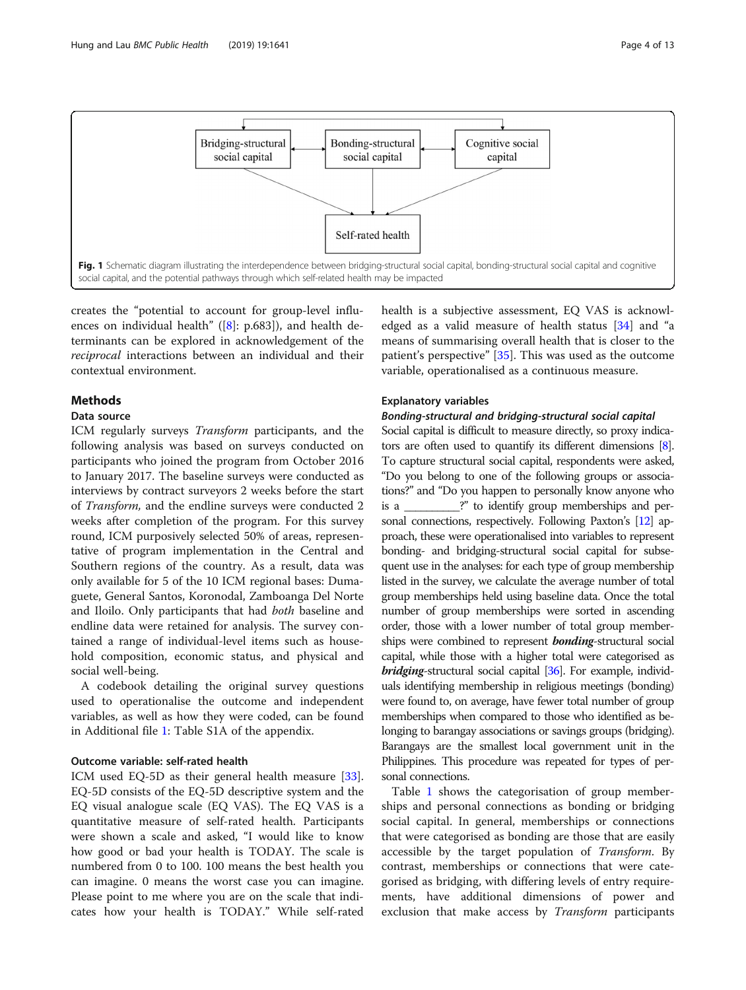<span id="page-3-0"></span>

creates the "potential to account for group-level influ-ences on individual health" ([[8\]](#page-11-0): p.683]), and health determinants can be explored in acknowledgement of the reciprocal interactions between an individual and their contextual environment.

## **Methods**

## Data source

ICM regularly surveys Transform participants, and the following analysis was based on surveys conducted on participants who joined the program from October 2016 to January 2017. The baseline surveys were conducted as interviews by contract surveyors 2 weeks before the start of Transform, and the endline surveys were conducted 2 weeks after completion of the program. For this survey round, ICM purposively selected 50% of areas, representative of program implementation in the Central and Southern regions of the country. As a result, data was only available for 5 of the 10 ICM regional bases: Dumaguete, General Santos, Koronodal, Zamboanga Del Norte and Iloilo. Only participants that had both baseline and endline data were retained for analysis. The survey contained a range of individual-level items such as household composition, economic status, and physical and social well-being.

A codebook detailing the original survey questions used to operationalise the outcome and independent variables, as well as how they were coded, can be found in Additional file [1:](#page-11-0) Table S1A of the appendix.

## Outcome variable: self-rated health

ICM used EQ-5D as their general health measure [\[33](#page-12-0)]. EQ-5D consists of the EQ-5D descriptive system and the EQ visual analogue scale (EQ VAS). The EQ VAS is a quantitative measure of self-rated health. Participants were shown a scale and asked, "I would like to know how good or bad your health is TODAY. The scale is numbered from 0 to 100. 100 means the best health you can imagine. 0 means the worst case you can imagine. Please point to me where you are on the scale that indicates how your health is TODAY." While self-rated health is a subjective assessment, EQ VAS is acknowledged as a valid measure of health status [[34\]](#page-12-0) and "a means of summarising overall health that is closer to the patient's perspective" [\[35\]](#page-12-0). This was used as the outcome variable, operationalised as a continuous measure.

#### Explanatory variables

## Bonding-structural and bridging-structural social capital

Social capital is difficult to measure directly, so proxy indicators are often used to quantify its different dimensions [\[8\]](#page-11-0). To capture structural social capital, respondents were asked, "Do you belong to one of the following groups or associations?" and "Do you happen to personally know anyone who is a \_\_\_\_\_\_\_\_\_\_?" to identify group memberships and per-sonal connections, respectively. Following Paxton's [\[12](#page-11-0)] approach, these were operationalised into variables to represent bonding- and bridging-structural social capital for subsequent use in the analyses: for each type of group membership listed in the survey, we calculate the average number of total group memberships held using baseline data. Once the total number of group memberships were sorted in ascending order, those with a lower number of total group memberships were combined to represent **bonding**-structural social capital, while those with a higher total were categorised as bridging-structural social capital [\[36\]](#page-12-0). For example, individuals identifying membership in religious meetings (bonding) were found to, on average, have fewer total number of group memberships when compared to those who identified as belonging to barangay associations or savings groups (bridging). Barangays are the smallest local government unit in the Philippines. This procedure was repeated for types of personal connections.

Table [1](#page-4-0) shows the categorisation of group memberships and personal connections as bonding or bridging social capital. In general, memberships or connections that were categorised as bonding are those that are easily accessible by the target population of Transform. By contrast, memberships or connections that were categorised as bridging, with differing levels of entry requirements, have additional dimensions of power and exclusion that make access by *Transform* participants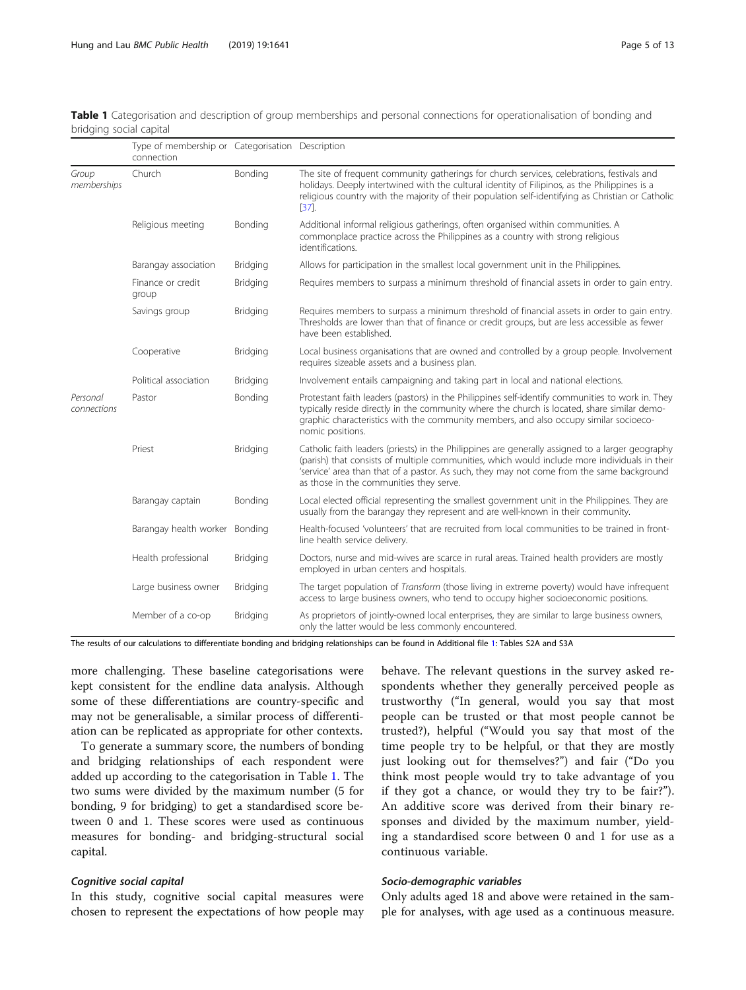|                         | Type of membership or Categorisation Description<br>connection |          |                                                                                                                                                                                                                                                                                                                                           |
|-------------------------|----------------------------------------------------------------|----------|-------------------------------------------------------------------------------------------------------------------------------------------------------------------------------------------------------------------------------------------------------------------------------------------------------------------------------------------|
| Group<br>memberships    | Church                                                         | Bonding  | The site of frequent community gatherings for church services, celebrations, festivals and<br>holidays. Deeply intertwined with the cultural identity of Filipinos, as the Philippines is a<br>religious country with the majority of their population self-identifying as Christian or Catholic<br>$[37]$ .                              |
|                         | Religious meeting                                              | Bonding  | Additional informal religious gatherings, often organised within communities. A<br>commonplace practice across the Philippines as a country with strong religious<br>identifications.                                                                                                                                                     |
|                         | Barangay association                                           | Bridging | Allows for participation in the smallest local government unit in the Philippines.                                                                                                                                                                                                                                                        |
|                         | Finance or credit<br>group                                     | Bridging | Requires members to surpass a minimum threshold of financial assets in order to gain entry.                                                                                                                                                                                                                                               |
|                         | Savings group                                                  | Bridging | Requires members to surpass a minimum threshold of financial assets in order to gain entry.<br>Thresholds are lower than that of finance or credit groups, but are less accessible as fewer<br>have been established.                                                                                                                     |
|                         | Cooperative                                                    | Bridging | Local business organisations that are owned and controlled by a group people. Involvement<br>requires sizeable assets and a business plan.                                                                                                                                                                                                |
|                         | Political association                                          | Bridging | Involvement entails campaigning and taking part in local and national elections.                                                                                                                                                                                                                                                          |
| Personal<br>connections | Pastor                                                         | Bonding  | Protestant faith leaders (pastors) in the Philippines self-identify communities to work in. They<br>typically reside directly in the community where the church is located, share similar demo-<br>graphic characteristics with the community members, and also occupy similar socioeco-<br>nomic positions.                              |
|                         | Priest                                                         | Bridging | Catholic faith leaders (priests) in the Philippines are generally assigned to a larger geography<br>(parish) that consists of multiple communities, which would include more individuals in their<br>'service' area than that of a pastor. As such, they may not come from the same background<br>as those in the communities they serve. |
|                         | Barangay captain                                               | Bonding  | Local elected official representing the smallest government unit in the Philippines. They are<br>usually from the barangay they represent and are well-known in their community.                                                                                                                                                          |
|                         | Barangay health worker Bonding                                 |          | Health-focused 'volunteers' that are recruited from local communities to be trained in front-<br>line health service delivery.                                                                                                                                                                                                            |
|                         | Health professional                                            | Bridging | Doctors, nurse and mid-wives are scarce in rural areas. Trained health providers are mostly<br>employed in urban centers and hospitals.                                                                                                                                                                                                   |
|                         | Large business owner                                           | Bridging | The target population of Transform (those living in extreme poverty) would have infrequent<br>access to large business owners, who tend to occupy higher socioeconomic positions.                                                                                                                                                         |
|                         | Member of a co-op                                              | Bridging | As proprietors of jointly-owned local enterprises, they are similar to large business owners,<br>only the latter would be less commonly encountered.                                                                                                                                                                                      |

<span id="page-4-0"></span>Table 1 Categorisation and description of group memberships and personal connections for operationalisation of bonding and bridging social capital

The results of our calculations to differentiate bonding and bridging relationships can be found in Additional file [1:](#page-11-0) Tables S2A and S3A

more challenging. These baseline categorisations were kept consistent for the endline data analysis. Although some of these differentiations are country-specific and may not be generalisable, a similar process of differentiation can be replicated as appropriate for other contexts.

To generate a summary score, the numbers of bonding and bridging relationships of each respondent were added up according to the categorisation in Table 1. The two sums were divided by the maximum number (5 for bonding, 9 for bridging) to get a standardised score between 0 and 1. These scores were used as continuous measures for bonding- and bridging-structural social capital.

## Cognitive social capital

In this study, cognitive social capital measures were chosen to represent the expectations of how people may behave. The relevant questions in the survey asked respondents whether they generally perceived people as trustworthy ("In general, would you say that most people can be trusted or that most people cannot be trusted?), helpful ("Would you say that most of the time people try to be helpful, or that they are mostly just looking out for themselves?") and fair ("Do you think most people would try to take advantage of you if they got a chance, or would they try to be fair?"). An additive score was derived from their binary responses and divided by the maximum number, yielding a standardised score between 0 and 1 for use as a continuous variable.

## Socio-demographic variables

Only adults aged 18 and above were retained in the sample for analyses, with age used as a continuous measure.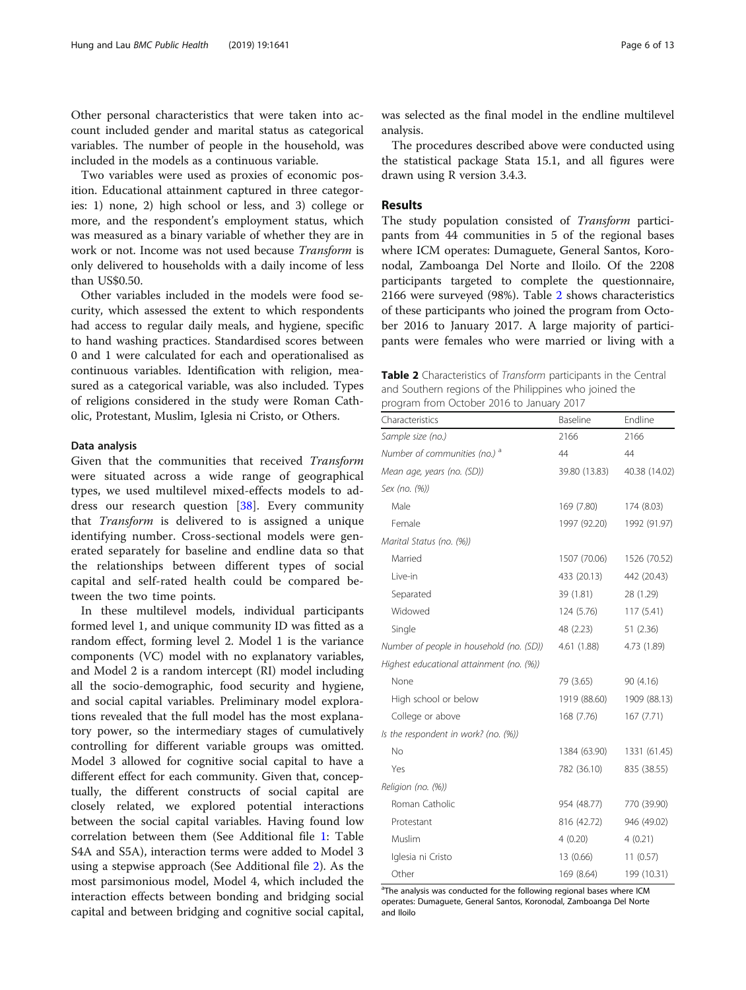Other personal characteristics that were taken into account included gender and marital status as categorical variables. The number of people in the household, was included in the models as a continuous variable.

Two variables were used as proxies of economic position. Educational attainment captured in three categories: 1) none, 2) high school or less, and 3) college or more, and the respondent's employment status, which was measured as a binary variable of whether they are in work or not. Income was not used because Transform is only delivered to households with a daily income of less than US\$0.50.

Other variables included in the models were food security, which assessed the extent to which respondents had access to regular daily meals, and hygiene, specific to hand washing practices. Standardised scores between 0 and 1 were calculated for each and operationalised as continuous variables. Identification with religion, measured as a categorical variable, was also included. Types of religions considered in the study were Roman Catholic, Protestant, Muslim, Iglesia ni Cristo, or Others.

## Data analysis

Given that the communities that received Transform were situated across a wide range of geographical types, we used multilevel mixed-effects models to address our research question [[38\]](#page-12-0). Every community that Transform is delivered to is assigned a unique identifying number. Cross-sectional models were generated separately for baseline and endline data so that the relationships between different types of social capital and self-rated health could be compared between the two time points.

In these multilevel models, individual participants formed level 1, and unique community ID was fitted as a random effect, forming level 2. Model 1 is the variance components (VC) model with no explanatory variables, and Model 2 is a random intercept (RI) model including all the socio-demographic, food security and hygiene, and social capital variables. Preliminary model explorations revealed that the full model has the most explanatory power, so the intermediary stages of cumulatively controlling for different variable groups was omitted. Model 3 allowed for cognitive social capital to have a different effect for each community. Given that, conceptually, the different constructs of social capital are closely related, we explored potential interactions between the social capital variables. Having found low correlation between them (See Additional file [1:](#page-11-0) Table S4A and S5A), interaction terms were added to Model 3 using a stepwise approach (See Additional file [2](#page-11-0)). As the most parsimonious model, Model 4, which included the interaction effects between bonding and bridging social capital and between bridging and cognitive social capital,

was selected as the final model in the endline multilevel analysis.

The procedures described above were conducted using the statistical package Stata 15.1, and all figures were drawn using R version 3.4.3.

## Results

The study population consisted of *Transform* participants from 44 communities in 5 of the regional bases where ICM operates: Dumaguete, General Santos, Koronodal, Zamboanga Del Norte and Iloilo. Of the 2208 participants targeted to complete the questionnaire, 2166 were surveyed (98%). Table 2 shows characteristics of these participants who joined the program from October 2016 to January 2017. A large majority of participants were females who were married or living with a

Table 2 Characteristics of Transform participants in the Central and Southern regions of the Philippines who joined the program from October 2016 to January 2017

| Characteristics                          | Baseline      | Endline       |
|------------------------------------------|---------------|---------------|
| Sample size (no.)                        | 2166          | 2166          |
| Number of communities (no.) <sup>a</sup> | 44            | 44            |
| Mean age, years (no. (SD))               | 39.80 (13.83) | 40.38 (14.02) |
| Sex (no. (%))                            |               |               |
| Male                                     | 169 (7.80)    | 174 (8.03)    |
| Female                                   | 1997 (92.20)  | 1992 (91.97)  |
| Marital Status (no. (%))                 |               |               |
| Married                                  | 1507 (70.06)  | 1526 (70.52)  |
| Live-in                                  | 433 (20.13)   | 442 (20.43)   |
| Separated                                | 39 (1.81)     | 28 (1.29)     |
| Widowed                                  | 124 (5.76)    | 117(5.41)     |
| Single                                   | 48 (2.23)     | 51(2.36)      |
| Number of people in household (no. (SD)) | 4.61 (1.88)   | 4.73 (1.89)   |
| Highest educational attainment (no. (%)) |               |               |
| None                                     | 79 (3.65)     | 90 (4.16)     |
| High school or below                     | 1919 (88.60)  | 1909 (88.13)  |
| College or above                         | 168 (7.76)    | 167(7.71)     |
| Is the respondent in work? (no. (%))     |               |               |
| No                                       | 1384 (63.90)  | 1331 (61.45)  |
| Yes                                      | 782 (36.10)   | 835 (38.55)   |
| Religion (no. (%))                       |               |               |
| Roman Catholic                           | 954 (48.77)   | 770 (39.90)   |
| Protestant                               | 816 (42.72)   | 946 (49.02)   |
| Muslim                                   | 4(0.20)       | 4(0.21)       |
| Iglesia ni Cristo                        | 13 (0.66)     | 11(0.57)      |
| Other                                    | 169 (8.64)    | 199 (10.31)   |

<sup>a</sup>The analysis was conducted for the following regional bases where ICM operates: Dumaguete, General Santos, Koronodal, Zamboanga Del Norte and Iloilo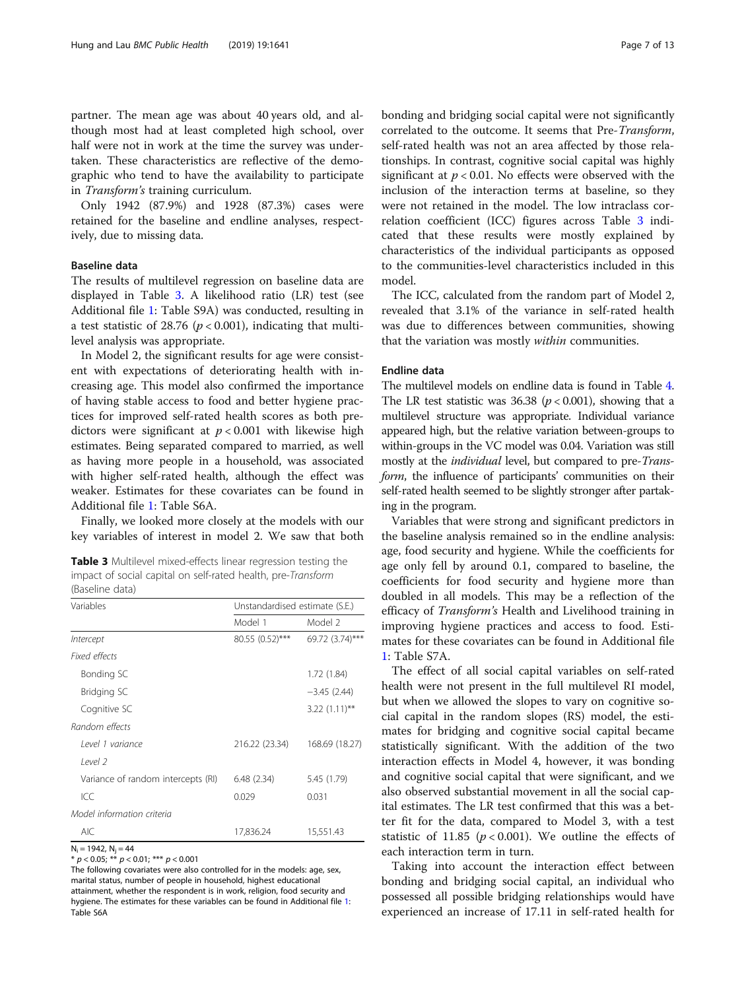partner. The mean age was about 40 years old, and although most had at least completed high school, over half were not in work at the time the survey was undertaken. These characteristics are reflective of the demographic who tend to have the availability to participate in Transform's training curriculum.

Only 1942 (87.9%) and 1928 (87.3%) cases were retained for the baseline and endline analyses, respectively, due to missing data.

## Baseline data

The results of multilevel regression on baseline data are displayed in Table 3. A likelihood ratio (LR) test (see Additional file [1](#page-11-0): Table S9A) was conducted, resulting in a test statistic of 28.76 ( $p < 0.001$ ), indicating that multilevel analysis was appropriate.

In Model 2, the significant results for age were consistent with expectations of deteriorating health with increasing age. This model also confirmed the importance of having stable access to food and better hygiene practices for improved self-rated health scores as both predictors were significant at  $p < 0.001$  with likewise high estimates. Being separated compared to married, as well as having more people in a household, was associated with higher self-rated health, although the effect was weaker. Estimates for these covariates can be found in Additional file [1](#page-11-0): Table S6A.

Finally, we looked more closely at the models with our key variables of interest in model 2. We saw that both

Table 3 Multilevel mixed-effects linear regression testing the impact of social capital on self-rated health, pre-Transform (Baseline data)

| Variables                          | Unstandardised estimate (S.E.) |                 |  |
|------------------------------------|--------------------------------|-----------------|--|
|                                    | Model 1                        | Model 2         |  |
| Intercept                          | 80.55 (0.52)***                | 69.72 (3.74)*** |  |
| Fixed effects                      |                                |                 |  |
| Bonding SC                         |                                | 1.72 (1.84)     |  |
| Bridging SC                        |                                | $-3.45(2.44)$   |  |
| Cognitive SC                       |                                | $3.22(1.11)$ ** |  |
| Random effects                     |                                |                 |  |
| Level 1 variance                   | 216.22 (23.34)                 | 168.69 (18.27)  |  |
| level <sub>2</sub>                 |                                |                 |  |
| Variance of random intercepts (RI) | 6.48(2.34)                     | 5.45 (1.79)     |  |
| ICC                                | 0.029                          | 0.031           |  |
| Model information criteria         |                                |                 |  |
| <b>AIC</b>                         | 17,836.24                      | 15,551.43       |  |

 $N_i = 1942$ ,  $N_i = 44$ 

\*  $p < 0.05$ ; \*\*  $p < 0.01$ ; \*\*\*  $p < 0.001$ 

The following covariates were also controlled for in the models: age, sex, marital status, number of people in household, highest educational attainment, whether the respondent is in work, religion, food security and hygiene. The estimates for these variables can be found in Additional file [1:](#page-11-0) Table S6A

bonding and bridging social capital were not significantly correlated to the outcome. It seems that Pre-Transform, self-rated health was not an area affected by those relationships. In contrast, cognitive social capital was highly significant at  $p < 0.01$ . No effects were observed with the inclusion of the interaction terms at baseline, so they were not retained in the model. The low intraclass correlation coefficient (ICC) figures across Table 3 indicated that these results were mostly explained by characteristics of the individual participants as opposed to the communities-level characteristics included in this model.

The ICC, calculated from the random part of Model 2, revealed that 3.1% of the variance in self-rated health was due to differences between communities, showing that the variation was mostly within communities.

## Endline data

The multilevel models on endline data is found in Table [4](#page-7-0). The LR test statistic was 36.38 ( $p < 0.001$ ), showing that a multilevel structure was appropriate. Individual variance appeared high, but the relative variation between-groups to within-groups in the VC model was 0.04. Variation was still mostly at the *individual* level, but compared to pre-*Trans*form, the influence of participants' communities on their self-rated health seemed to be slightly stronger after partaking in the program.

Variables that were strong and significant predictors in the baseline analysis remained so in the endline analysis: age, food security and hygiene. While the coefficients for age only fell by around 0.1, compared to baseline, the coefficients for food security and hygiene more than doubled in all models. This may be a reflection of the efficacy of Transform's Health and Livelihood training in improving hygiene practices and access to food. Estimates for these covariates can be found in Additional file [1:](#page-11-0) Table S7A.

The effect of all social capital variables on self-rated health were not present in the full multilevel RI model, but when we allowed the slopes to vary on cognitive social capital in the random slopes (RS) model, the estimates for bridging and cognitive social capital became statistically significant. With the addition of the two interaction effects in Model 4, however, it was bonding and cognitive social capital that were significant, and we also observed substantial movement in all the social capital estimates. The LR test confirmed that this was a better fit for the data, compared to Model 3, with a test statistic of 11.85 ( $p < 0.001$ ). We outline the effects of each interaction term in turn.

Taking into account the interaction effect between bonding and bridging social capital, an individual who possessed all possible bridging relationships would have experienced an increase of 17.11 in self-rated health for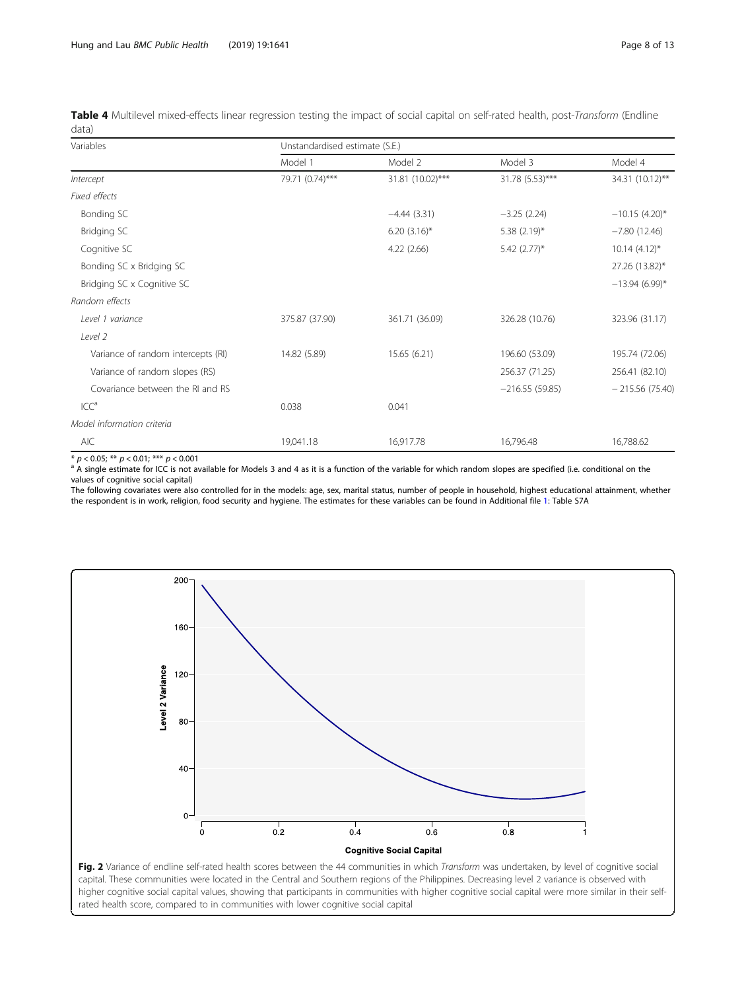<span id="page-7-0"></span>Table 4 Multilevel mixed-effects linear regression testing the impact of social capital on self-rated health, post-Transform (Endline data)

| Variables                          | Unstandardised estimate (S.E.) |                  |                            |                   |  |  |
|------------------------------------|--------------------------------|------------------|----------------------------|-------------------|--|--|
|                                    | Model 1                        | Model 2          | Model 3                    | Model 4           |  |  |
| Intercept                          | 79.71 (0.74)***                | 31.81 (10.02)*** | 31.78 (5.53)***            | 34.31 (10.12)**   |  |  |
| Fixed effects                      |                                |                  |                            |                   |  |  |
| Bonding SC                         |                                | $-4.44(3.31)$    | $-3.25(2.24)$              | $-10.15(4.20)$ *  |  |  |
| Bridging SC                        |                                | $6.20(3.16)$ *   | 5.38 $(2.19)^*$            | $-7.80(12.46)$    |  |  |
| Cognitive SC                       |                                | 4.22(2.66)       | $5.42$ (2.77) <sup>*</sup> | $10.14(4.12)^{*}$ |  |  |
| Bonding SC x Bridging SC           |                                |                  |                            | 27.26 (13.82)*    |  |  |
| Bridging SC x Cognitive SC         |                                |                  |                            | $-13.94(6.99)$ *  |  |  |
| Random effects                     |                                |                  |                            |                   |  |  |
| Level 1 variance                   | 375.87 (37.90)                 | 361.71 (36.09)   | 326.28 (10.76)             | 323.96 (31.17)    |  |  |
| Level 2                            |                                |                  |                            |                   |  |  |
| Variance of random intercepts (RI) | 14.82 (5.89)                   | 15.65 (6.21)     | 196.60 (53.09)             | 195.74 (72.06)    |  |  |
| Variance of random slopes (RS)     |                                |                  | 256.37 (71.25)             | 256.41 (82.10)    |  |  |
| Covariance between the RI and RS   |                                |                  | $-216.55(59.85)$           | $-215.56(75.40)$  |  |  |
| ICC <sup>a</sup>                   | 0.038                          | 0.041            |                            |                   |  |  |
| Model information criteria         |                                |                  |                            |                   |  |  |
| AIC                                | 19,041.18                      | 16,917.78        | 16,796.48                  | 16,788.62         |  |  |

\*  $p < 0.05$ ; \*\*  $p < 0.01$ ; \*\*\*  $p < 0.001$ <br><sup>a</sup> A single estimate for ICC is not available for Models 3 and 4 as it is a function of the variable for which random slopes are specified (i.e. conditional on the values of cognitive social capital)

The following covariates were also controlled for in the models: age, sex, marital status, number of people in household, highest educational attainment, whether the respondent is in work, religion, food security and hygiene. The estimates for these variables can be found in Additional file [1:](#page-11-0) Table S7A

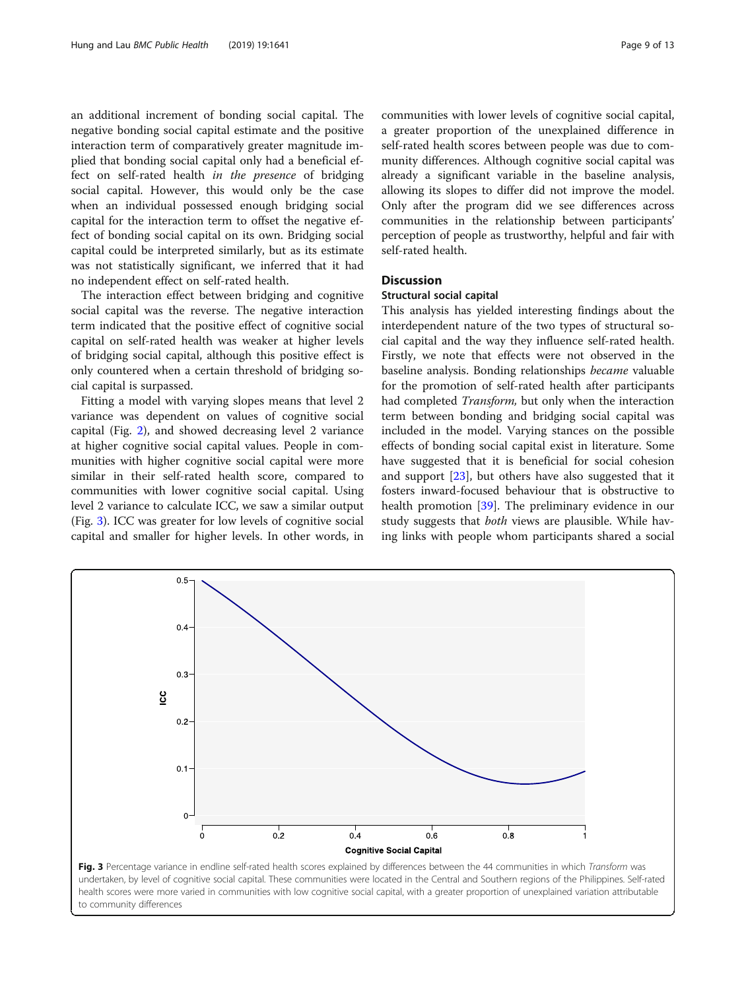an additional increment of bonding social capital. The negative bonding social capital estimate and the positive interaction term of comparatively greater magnitude implied that bonding social capital only had a beneficial effect on self-rated health in the presence of bridging social capital. However, this would only be the case when an individual possessed enough bridging social capital for the interaction term to offset the negative effect of bonding social capital on its own. Bridging social capital could be interpreted similarly, but as its estimate was not statistically significant, we inferred that it had no independent effect on self-rated health.

The interaction effect between bridging and cognitive social capital was the reverse. The negative interaction term indicated that the positive effect of cognitive social capital on self-rated health was weaker at higher levels of bridging social capital, although this positive effect is only countered when a certain threshold of bridging social capital is surpassed.

Fitting a model with varying slopes means that level 2 variance was dependent on values of cognitive social capital (Fig. [2](#page-7-0)), and showed decreasing level 2 variance at higher cognitive social capital values. People in communities with higher cognitive social capital were more similar in their self-rated health score, compared to communities with lower cognitive social capital. Using level 2 variance to calculate ICC, we saw a similar output (Fig. 3). ICC was greater for low levels of cognitive social capital and smaller for higher levels. In other words, in communities with lower levels of cognitive social capital, a greater proportion of the unexplained difference in self-rated health scores between people was due to community differences. Although cognitive social capital was already a significant variable in the baseline analysis, allowing its slopes to differ did not improve the model. Only after the program did we see differences across communities in the relationship between participants' perception of people as trustworthy, helpful and fair with self-rated health.

## **Discussion**

## Structural social capital

This analysis has yielded interesting findings about the interdependent nature of the two types of structural social capital and the way they influence self-rated health. Firstly, we note that effects were not observed in the baseline analysis. Bonding relationships became valuable for the promotion of self-rated health after participants had completed Transform, but only when the interaction term between bonding and bridging social capital was included in the model. Varying stances on the possible effects of bonding social capital exist in literature. Some have suggested that it is beneficial for social cohesion and support [\[23\]](#page-11-0), but others have also suggested that it fosters inward-focused behaviour that is obstructive to health promotion [\[39\]](#page-12-0). The preliminary evidence in our study suggests that *both* views are plausible. While having links with people whom participants shared a social

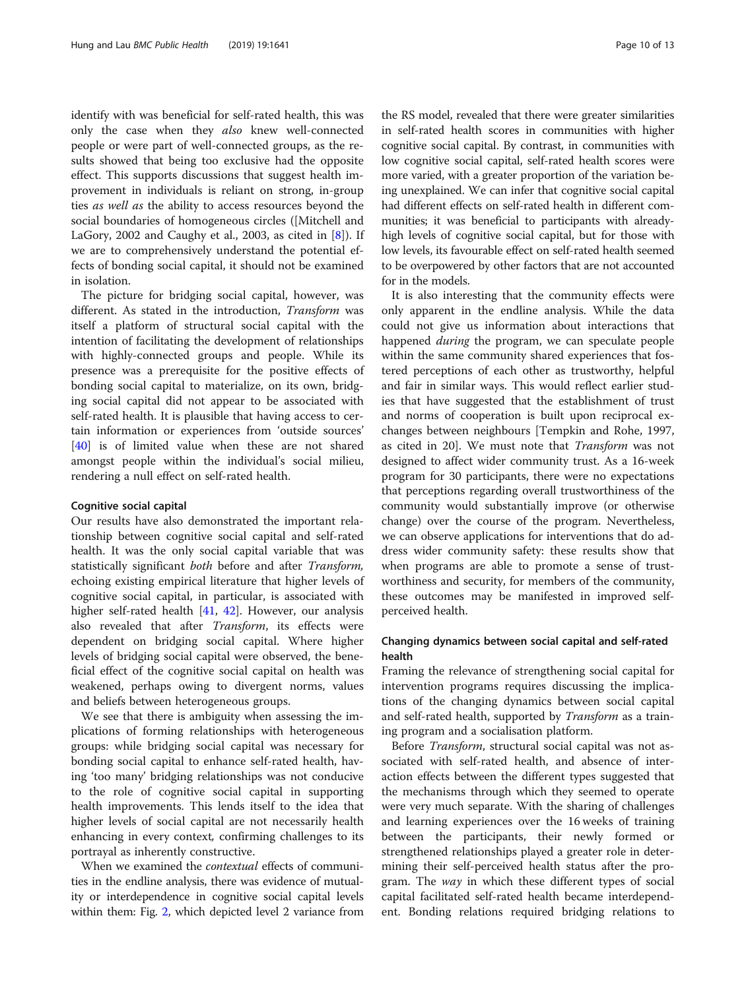identify with was beneficial for self-rated health, this was only the case when they also knew well-connected people or were part of well-connected groups, as the results showed that being too exclusive had the opposite effect. This supports discussions that suggest health improvement in individuals is reliant on strong, in-group ties as well as the ability to access resources beyond the social boundaries of homogeneous circles ([Mitchell and LaGory, 2002 and Caughy et al., 2003, as cited in  $[8]$  $[8]$ ). If we are to comprehensively understand the potential effects of bonding social capital, it should not be examined in isolation.

The picture for bridging social capital, however, was different. As stated in the introduction, Transform was itself a platform of structural social capital with the intention of facilitating the development of relationships with highly-connected groups and people. While its presence was a prerequisite for the positive effects of bonding social capital to materialize, on its own, bridging social capital did not appear to be associated with self-rated health. It is plausible that having access to certain information or experiences from 'outside sources' [[40\]](#page-12-0) is of limited value when these are not shared amongst people within the individual's social milieu, rendering a null effect on self-rated health.

## Cognitive social capital

Our results have also demonstrated the important relationship between cognitive social capital and self-rated health. It was the only social capital variable that was statistically significant both before and after Transform, echoing existing empirical literature that higher levels of cognitive social capital, in particular, is associated with higher self-rated health [\[41,](#page-12-0) [42](#page-12-0)]. However, our analysis also revealed that after Transform, its effects were dependent on bridging social capital. Where higher levels of bridging social capital were observed, the beneficial effect of the cognitive social capital on health was weakened, perhaps owing to divergent norms, values and beliefs between heterogeneous groups.

We see that there is ambiguity when assessing the implications of forming relationships with heterogeneous groups: while bridging social capital was necessary for bonding social capital to enhance self-rated health, having 'too many' bridging relationships was not conducive to the role of cognitive social capital in supporting health improvements. This lends itself to the idea that higher levels of social capital are not necessarily health enhancing in every context, confirming challenges to its portrayal as inherently constructive.

When we examined the contextual effects of communities in the endline analysis, there was evidence of mutuality or interdependence in cognitive social capital levels within them: Fig. [2](#page-7-0), which depicted level 2 variance from

the RS model, revealed that there were greater similarities in self-rated health scores in communities with higher cognitive social capital. By contrast, in communities with low cognitive social capital, self-rated health scores were more varied, with a greater proportion of the variation being unexplained. We can infer that cognitive social capital had different effects on self-rated health in different communities; it was beneficial to participants with alreadyhigh levels of cognitive social capital, but for those with low levels, its favourable effect on self-rated health seemed to be overpowered by other factors that are not accounted for in the models.

It is also interesting that the community effects were only apparent in the endline analysis. While the data could not give us information about interactions that happened *during* the program, we can speculate people within the same community shared experiences that fostered perceptions of each other as trustworthy, helpful and fair in similar ways. This would reflect earlier studies that have suggested that the establishment of trust and norms of cooperation is built upon reciprocal exchanges between neighbours [Tempkin and Rohe, 1997, as cited in 20]. We must note that Transform was not designed to affect wider community trust. As a 16-week program for 30 participants, there were no expectations that perceptions regarding overall trustworthiness of the community would substantially improve (or otherwise change) over the course of the program. Nevertheless, we can observe applications for interventions that do address wider community safety: these results show that when programs are able to promote a sense of trustworthiness and security, for members of the community, these outcomes may be manifested in improved selfperceived health.

## Changing dynamics between social capital and self-rated health

Framing the relevance of strengthening social capital for intervention programs requires discussing the implications of the changing dynamics between social capital and self-rated health, supported by Transform as a training program and a socialisation platform.

Before Transform, structural social capital was not associated with self-rated health, and absence of interaction effects between the different types suggested that the mechanisms through which they seemed to operate were very much separate. With the sharing of challenges and learning experiences over the 16 weeks of training between the participants, their newly formed or strengthened relationships played a greater role in determining their self-perceived health status after the program. The way in which these different types of social capital facilitated self-rated health became interdependent. Bonding relations required bridging relations to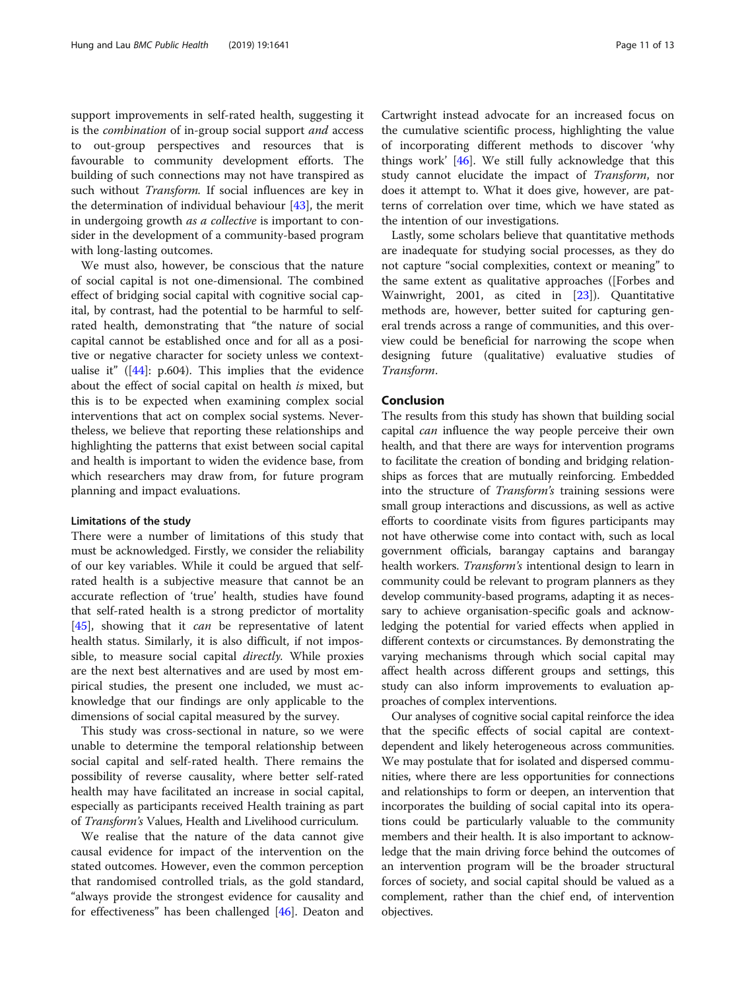support improvements in self-rated health, suggesting it is the combination of in-group social support and access to out-group perspectives and resources that is favourable to community development efforts. The building of such connections may not have transpired as such without Transform. If social influences are key in the determination of individual behaviour  $[43]$  $[43]$ , the merit in undergoing growth *as a collective* is important to consider in the development of a community-based program with long-lasting outcomes.

We must also, however, be conscious that the nature of social capital is not one-dimensional. The combined effect of bridging social capital with cognitive social capital, by contrast, had the potential to be harmful to selfrated health, demonstrating that "the nature of social capital cannot be established once and for all as a positive or negative character for society unless we contextualise it"  $([44] : p.604)$  $([44] : p.604)$  $([44] : p.604)$ . This implies that the evidence about the effect of social capital on health is mixed, but this is to be expected when examining complex social interventions that act on complex social systems. Nevertheless, we believe that reporting these relationships and highlighting the patterns that exist between social capital and health is important to widen the evidence base, from which researchers may draw from, for future program planning and impact evaluations.

## Limitations of the study

There were a number of limitations of this study that must be acknowledged. Firstly, we consider the reliability of our key variables. While it could be argued that selfrated health is a subjective measure that cannot be an accurate reflection of 'true' health, studies have found that self-rated health is a strong predictor of mortality [[45\]](#page-12-0), showing that it *can* be representative of latent health status. Similarly, it is also difficult, if not impossible, to measure social capital *directly*. While proxies are the next best alternatives and are used by most empirical studies, the present one included, we must acknowledge that our findings are only applicable to the dimensions of social capital measured by the survey.

This study was cross-sectional in nature, so we were unable to determine the temporal relationship between social capital and self-rated health. There remains the possibility of reverse causality, where better self-rated health may have facilitated an increase in social capital, especially as participants received Health training as part of Transform's Values, Health and Livelihood curriculum.

We realise that the nature of the data cannot give causal evidence for impact of the intervention on the stated outcomes. However, even the common perception that randomised controlled trials, as the gold standard, "always provide the strongest evidence for causality and for effectiveness" has been challenged [[46](#page-12-0)]. Deaton and Cartwright instead advocate for an increased focus on the cumulative scientific process, highlighting the value of incorporating different methods to discover 'why things work' [[46\]](#page-12-0). We still fully acknowledge that this study cannot elucidate the impact of Transform, nor does it attempt to. What it does give, however, are patterns of correlation over time, which we have stated as the intention of our investigations.

Lastly, some scholars believe that quantitative methods are inadequate for studying social processes, as they do not capture "social complexities, context or meaning" to the same extent as qualitative approaches ([Forbes and Wainwright, 2001, as cited in [[23](#page-11-0)]). Quantitative methods are, however, better suited for capturing general trends across a range of communities, and this overview could be beneficial for narrowing the scope when designing future (qualitative) evaluative studies of Transform.

## Conclusion

The results from this study has shown that building social capital can influence the way people perceive their own health, and that there are ways for intervention programs to facilitate the creation of bonding and bridging relationships as forces that are mutually reinforcing. Embedded into the structure of Transform's training sessions were small group interactions and discussions, as well as active efforts to coordinate visits from figures participants may not have otherwise come into contact with, such as local government officials, barangay captains and barangay health workers. Transform's intentional design to learn in community could be relevant to program planners as they develop community-based programs, adapting it as necessary to achieve organisation-specific goals and acknowledging the potential for varied effects when applied in different contexts or circumstances. By demonstrating the varying mechanisms through which social capital may affect health across different groups and settings, this study can also inform improvements to evaluation approaches of complex interventions.

Our analyses of cognitive social capital reinforce the idea that the specific effects of social capital are contextdependent and likely heterogeneous across communities. We may postulate that for isolated and dispersed communities, where there are less opportunities for connections and relationships to form or deepen, an intervention that incorporates the building of social capital into its operations could be particularly valuable to the community members and their health. It is also important to acknowledge that the main driving force behind the outcomes of an intervention program will be the broader structural forces of society, and social capital should be valued as a complement, rather than the chief end, of intervention objectives.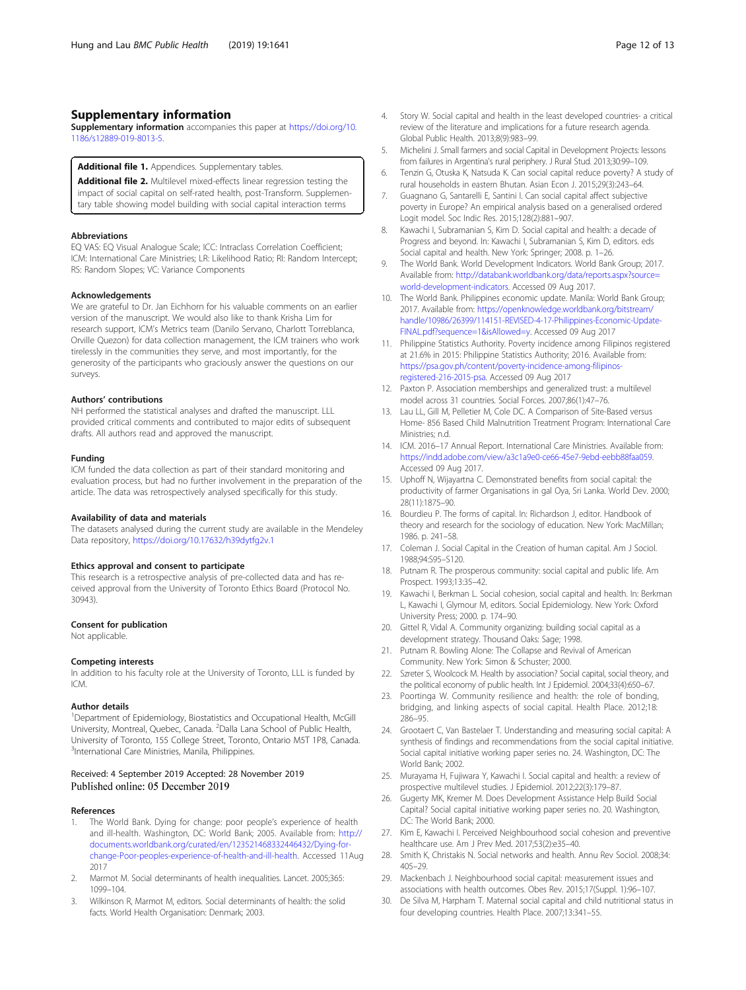## <span id="page-11-0"></span>Supplementary information

Supplementary information accompanies this paper at [https://doi.org/10.](https://doi.org/10.1186/s12889-019-8013-5) [1186/s12889-019-8013-5.](https://doi.org/10.1186/s12889-019-8013-5)

## Additional file 1. Appendices. Supplementary tables.

Additional file 2. Multilevel mixed-effects linear regression testing the impact of social capital on self-rated health, post-Transform. Supplementary table showing model building with social capital interaction terms

#### Abbreviations

EQ VAS: EQ Visual Analogue Scale; ICC: Intraclass Correlation Coefficient; ICM: International Care Ministries; LR: Likelihood Ratio; RI: Random Intercept; RS: Random Slopes; VC: Variance Components

#### Acknowledgements

We are grateful to Dr. Jan Eichhorn for his valuable comments on an earlier version of the manuscript. We would also like to thank Krisha Lim for research support, ICM's Metrics team (Danilo Servano, Charlott Torreblanca, Orville Quezon) for data collection management, the ICM trainers who work tirelessly in the communities they serve, and most importantly, for the generosity of the participants who graciously answer the questions on our surveys.

#### Authors' contributions

NH performed the statistical analyses and drafted the manuscript. LLL provided critical comments and contributed to major edits of subsequent drafts. All authors read and approved the manuscript.

#### Funding

ICM funded the data collection as part of their standard monitoring and evaluation process, but had no further involvement in the preparation of the article. The data was retrospectively analysed specifically for this study.

#### Availability of data and materials

The datasets analysed during the current study are available in the Mendeley Data repository, <https://doi.org/10.17632/h39dytfg2v.1>

#### Ethics approval and consent to participate

This research is a retrospective analysis of pre-collected data and has received approval from the University of Toronto Ethics Board (Protocol No. 30943).

#### Consent for publication

Not applicable.

#### Competing interests

In addition to his faculty role at the University of Toronto, LLL is funded by ICM.

#### Author details

<sup>1</sup>Department of Epidemiology, Biostatistics and Occupational Health, McGill University, Montreal, Quebec, Canada. <sup>2</sup>Dalla Lana School of Public Health, University of Toronto, 155 College Street, Toronto, Ontario M5T 1P8, Canada. 3 International Care Ministries, Manila, Philippines.

## Received: 4 September 2019 Accepted: 28 November 2019 Published online: 05 December 2019

#### References

- 1. The World Bank. Dying for change: poor people's experience of health and ill-health. Washington, DC: World Bank; 2005. Available from: [http://](http://documents.worldbank.org/curated/en/123521468332446432/Dying-for-change-Poor-peoples-experience-of-health-and-ill-health) [documents.worldbank.org/curated/en/123521468332446432/Dying-for](http://documents.worldbank.org/curated/en/123521468332446432/Dying-for-change-Poor-peoples-experience-of-health-and-ill-health)[change-Poor-peoples-experience-of-health-and-ill-health.](http://documents.worldbank.org/curated/en/123521468332446432/Dying-for-change-Poor-peoples-experience-of-health-and-ill-health) Accessed 11Aug 2017
- 2. Marmot M. Social determinants of health inequalities. Lancet. 2005;365: 1099–104.
- 3. Wilkinson R, Marmot M, editors. Social determinants of health: the solid facts. World Health Organisation: Denmark; 2003.
- 4. Story W. Social capital and health in the least developed countries- a critical review of the literature and implications for a future research agenda. Global Public Health. 2013;8(9):983–99.
- 5. Michelini J. Small farmers and social Capital in Development Projects: lessons from failures in Argentina's rural periphery. J Rural Stud. 2013;30:99–109.
- 6. Tenzin G, Otuska K, Natsuda K. Can social capital reduce poverty? A study of rural households in eastern Bhutan. Asian Econ J. 2015;29(3):243–64.
- 7. Guagnano G, Santarelli E, Santini I. Can social capital affect subjective poverty in Europe? An empirical analysis based on a generalised ordered Logit model. Soc Indic Res. 2015;128(2):881–907.
- 8. Kawachi I, Subramanian S, Kim D. Social capital and health: a decade of Progress and beyond. In: Kawachi I, Subramanian S, Kim D, editors. eds Social capital and health. New York: Springer; 2008. p. 1–26.
- 9. The World Bank. World Development Indicators. World Bank Group; 2017. Available from: [http://databank.worldbank.org/data/reports.aspx?source=](http://databank.worldbank.org/data/reports.aspx?source=world-development-indicators) [world-development-indicators.](http://databank.worldbank.org/data/reports.aspx?source=world-development-indicators) Accessed 09 Aug 2017.
- 10. The World Bank. Philippines economic update. Manila: World Bank Group; 2017. Available from: [https://openknowledge.worldbank.org/bitstream/](https://openknowledge.worldbank.org/bitstream/handle/10986/26399/114151-REVISED-4-17-Philippines-Economic-Update-FINAL.pdf?sequence=1&isAllowed=y) [handle/10986/26399/114151-REVISED-4-17-Philippines-Economic-Update-](https://openknowledge.worldbank.org/bitstream/handle/10986/26399/114151-REVISED-4-17-Philippines-Economic-Update-FINAL.pdf?sequence=1&isAllowed=y)[FINAL.pdf?sequence=1&isAllowed=y](https://openknowledge.worldbank.org/bitstream/handle/10986/26399/114151-REVISED-4-17-Philippines-Economic-Update-FINAL.pdf?sequence=1&isAllowed=y). Accessed 09 Aug 2017
- 11. Philippine Statistics Authority. Poverty incidence among Filipinos registered at 21.6% in 2015: Philippine Statistics Authority; 2016. Available from: [https://psa.gov.ph/content/poverty-incidence-among-filipinos](https://psa.gov.ph/content/poverty-incidence-among-filipinos-registered-216-2015-psa)[registered-216-2015-psa.](https://psa.gov.ph/content/poverty-incidence-among-filipinos-registered-216-2015-psa) Accessed 09 Aug 2017
- 12. Paxton P. Association memberships and generalized trust: a multilevel model across 31 countries. Social Forces. 2007;86(1):47–76.
- 13. Lau LL, Gill M, Pelletier M, Cole DC. A Comparison of Site-Based versus Home- 856 Based Child Malnutrition Treatment Program: International Care Ministries; n.d.
- 14. ICM. 2016–17 Annual Report. International Care Ministries. Available from: [https://indd.adobe.com/view/a3c1a9e0-ce66-45e7-9ebd-eebb88faa059.](https://indd.adobe.com/view/a3c1a9e0-ce66-45e7-9ebd-eebb88faa059) Accessed 09 Aug 2017.
- 15. Uphoff N, Wijayartna C. Demonstrated benefits from social capital: the productivity of farmer Organisations in gal Oya, Sri Lanka. World Dev. 2000; 28(11):1875–90.
- 16. Bourdieu P. The forms of capital. In: Richardson J, editor. Handbook of theory and research for the sociology of education. New York: MacMillan; 1986. p. 241–58.
- 17. Coleman J. Social Capital in the Creation of human capital. Am J Sociol. 1988;94:S95–S120.
- 18. Putnam R. The prosperous community: social capital and public life. Am Prospect. 1993;13:35–42.
- 19. Kawachi I, Berkman L. Social cohesion, social capital and health. In: Berkman L, Kawachi I, Glymour M, editors. Social Epidemiology. New York: Oxford University Press; 2000. p. 174–90.
- 20. Gittel R, Vidal A. Community organizing: building social capital as a development strategy. Thousand Oaks: Sage; 1998.
- 21. Putnam R. Bowling Alone: The Collapse and Revival of American Community. New York: Simon & Schuster; 2000.
- 22. Szreter S, Woolcock M. Health by association? Social capital, social theory, and the political economy of public health. Int J Epidemiol. 2004;33(4):650–67.
- 23. Poortinga W. Community resilience and health: the role of bonding, bridging, and linking aspects of social capital. Health Place. 2012;18: 286–95.
- 24. Grootaert C, Van Bastelaer T. Understanding and measuring social capital: A synthesis of findings and recommendations from the social capital initiative. Social capital initiative working paper series no. 24. Washington, DC: The World Bank; 2002.
- 25. Murayama H, Fujiwara Y, Kawachi I. Social capital and health: a review of prospective multilevel studies. J Epidemiol. 2012;22(3):179–87.
- 26. Gugerty MK, Kremer M. Does Development Assistance Help Build Social Capital? Social capital initiative working paper series no. 20. Washington, DC: The World Bank; 2000.
- 27. Kim E, Kawachi I. Perceived Neighbourhood social cohesion and preventive healthcare use. Am J Prev Med. 2017;53(2):e35–40.
- 28. Smith K, Christakis N. Social networks and health. Annu Rev Sociol. 2008;34: 405–29.
- 29. Mackenbach J. Neighbourhood social capital: measurement issues and associations with health outcomes. Obes Rev. 2015;17(Suppl. 1):96–107.
- 30. De Silva M, Harpham T. Maternal social capital and child nutritional status in four developing countries. Health Place. 2007;13:341–55.